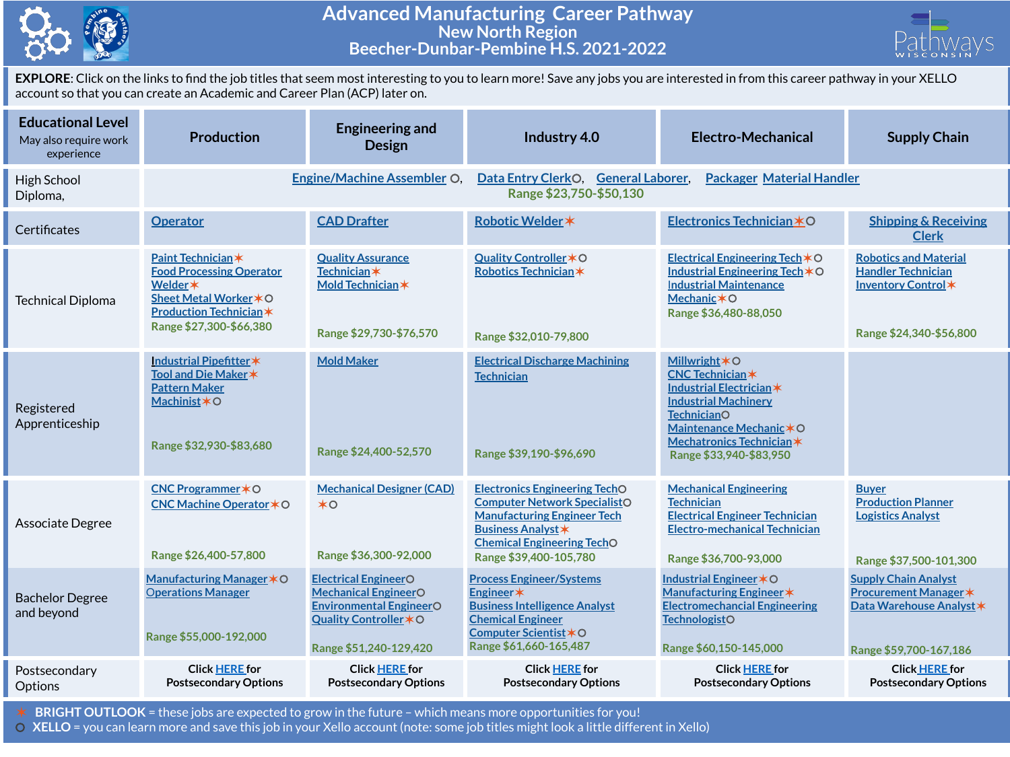

## **Advanced Manufacturing Career Pathway New North Region Beecher-Dunbar-Pembine H.S. 2021-2022**



**EXPLORE**: Click on the links to find the job titles that seem most interesting to you to learn more! Save any jobs you are interested in from this career pathway in your XELLO account so that you can create an Academic and Career Plan (ACP) later on.

| <b>Educational Level</b><br>May also require work<br>experience | <b>Production</b>                                                                                                                                      | <b>Engineering and</b><br><b>Design</b>                                                                                                          | Industry 4.0                                                                                                                                                                                                  | Electro-Mechanical                                                                                                                                                                                                           | <b>Supply Chain</b>                                                                                               |  |  |
|-----------------------------------------------------------------|--------------------------------------------------------------------------------------------------------------------------------------------------------|--------------------------------------------------------------------------------------------------------------------------------------------------|---------------------------------------------------------------------------------------------------------------------------------------------------------------------------------------------------------------|------------------------------------------------------------------------------------------------------------------------------------------------------------------------------------------------------------------------------|-------------------------------------------------------------------------------------------------------------------|--|--|
| High School<br>Diploma,                                         |                                                                                                                                                        | <b>Engine/Machine Assembler O</b>                                                                                                                | Data Entry ClerkO, General Laborer,<br><b>Packager Material Handler</b><br>Range \$23,750-\$50,130                                                                                                            |                                                                                                                                                                                                                              |                                                                                                                   |  |  |
| Certificates                                                    | <b>Operator</b>                                                                                                                                        | <b>CAD Drafter</b>                                                                                                                               | Robotic Welder *                                                                                                                                                                                              | Electronics Technician *O                                                                                                                                                                                                    | <b>Shipping &amp; Receiving</b><br><b>Clerk</b>                                                                   |  |  |
| <b>Technical Diploma</b>                                        | Paint Technician*<br><b>Food Processing Operator</b><br>Welder *<br>Sheet Metal Worker * O<br><b>Production Technician*</b><br>Range \$27,300-\$66,380 | <b>Quality Assurance</b><br><b>Technician</b> *<br>Mold Technician *<br>Range \$29,730-\$76,570                                                  | Quality Controller * O<br>Robotics Technician*<br>Range \$32,010-79,800                                                                                                                                       | Electrical Engineering Tech $*$ O<br>Industrial Engineering Tech *O<br><b>Industrial Maintenance</b><br>Mechanic $*$ O<br>Range \$36,480-88,050                                                                              | <b>Robotics and Material</b><br><b>Handler Technician</b><br>Inventory Control*<br>Range \$24,340-\$56,800        |  |  |
| Registered<br>Apprenticeship                                    | Industrial Pipefitter*<br>Tool and Die Maker *<br><b>Pattern Maker</b><br>Machinist*O<br>Range \$32,930-\$83,680                                       | <b>Mold Maker</b><br>Range \$24,400-52,570                                                                                                       | <b>Electrical Discharge Machining</b><br><b>Technician</b><br>Range \$39,190-\$96,690                                                                                                                         | <b>Millwright <math>*</math>O</b><br><b>CNC Technician*</b><br>Industrial Electrician*<br><b>Industrial Machinery</b><br><b>TechnicianO</b><br>Maintenance Mechanic*O<br>Mechatronics Technician*<br>Range \$33,940-\$83,950 |                                                                                                                   |  |  |
| Associate Degree                                                | CNC Programmer * O<br>CNC Machine Operator * O<br>Range \$26,400-57,800                                                                                | <b>Mechanical Designer (CAD)</b><br>$*$ o<br>Range \$36,300-92,000                                                                               | <b>Electronics Engineering TechO</b><br><b>Computer Network SpecialistO</b><br><b>Manufacturing Engineer Tech</b><br><b>Business Analyst *</b><br><b>Chemical Engineering TechO</b><br>Range \$39,400-105,780 | <b>Mechanical Engineering</b><br><b>Technician</b><br><b>Electrical Engineer Technician</b><br><b>Electro-mechanical Technician</b><br>Range \$36,700-93,000                                                                 | <b>Buyer</b><br><b>Production Planner</b><br><b>Logistics Analyst</b><br>Range \$37,500-101,300                   |  |  |
| <b>Bachelor Degree</b><br>and beyond                            | Manufacturing Manager * O<br><b>Operations Manager</b><br>Range \$55,000-192,000                                                                       | <b>Electrical EngineerO</b><br><b>Mechanical EngineerO</b><br><b>Environmental EngineerO</b><br>Quality Controller * O<br>Range \$51,240-129,420 | <b>Process Engineer/Systems</b><br>Engineer*<br><b>Business Intelligence Analyst</b><br><b>Chemical Engineer</b><br>Computer Scientist *O<br>Range \$61,660-165,487                                           | Industrial Engineer * O<br>Manufacturing Engineer *<br><b>Electromechancial Engineering</b><br><b>TechnologistO</b><br>Range \$60,150-145,000                                                                                | <b>Supply Chain Analyst</b><br><b>Procurement Manager *</b><br>Data Warehouse Analyst *<br>Range \$59,700-167,186 |  |  |
| Postsecondary<br>Options                                        | <b>Click HERE for</b><br><b>Postsecondary Options</b>                                                                                                  | <b>Click HERE for</b><br><b>Postsecondary Options</b>                                                                                            | <b>Click HERE for</b><br><b>Postsecondary Options</b>                                                                                                                                                         | <b>Click HERE for</b><br><b>Postsecondary Options</b>                                                                                                                                                                        | <b>Click HERE for</b><br><b>Postsecondary Options</b>                                                             |  |  |

✶ **BRIGHT OUTLOOK** = these jobs are expected to grow in the future – which means more opportunities for you!

⚪ **XELLO** = you can learn more and save this job in your Xello account (note: some job titles might look a little different in Xello)